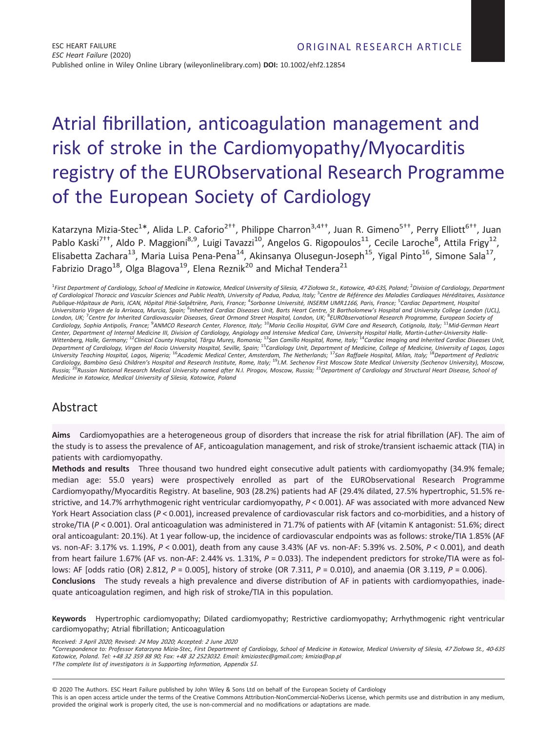# Atrial fibrillation, anticoagulation management and risk of stroke in the Cardiomyopathy/Myocarditis registry of the EURObservational Research Programme of the European Society of Cardiology

Katarzyna Mizia-Stec<sup>1\*</sup>, Alida L.P. Caforio<sup>2††</sup>, Philippe Charron<sup>3,4††</sup>, Juan R. Gimeno<sup>5††</sup>, Perry Elliott<sup>6††</sup>, Juan Pablo Kaski<sup>7††</sup>, Aldo P. Maggioni<sup>8,9</sup>, Luigi Tavazzi<sup>10</sup>, Angelos G. Rigopoulos<sup>11</sup>, Cecile Laroche<sup>8</sup>, Attila Frigy<sup>12</sup>, Elisabetta Zachara<sup>13</sup>, Maria Luisa Pena-Pena<sup>14</sup>, Akinsanya Olusegun-Joseph<sup>15</sup>, Yigal Pinto<sup>16</sup>, Simone Sala<sup>17</sup>, Fabrizio Drago<sup>18</sup>, Olga Blagova<sup>19</sup>, Elena Reznik<sup>20</sup> and Michał Tendera<sup>21</sup>

<sup>1</sup>First Department of Cardiology, School of Medicine in Katowice, Medical University of Silesia, 47 Ziołowa St., Katowice, 40-635, Poland; <sup>2</sup> Division of Cardiology, Department of Cardiological Thoracic and Vascular Sciences and Public Health, University of Padua, Padua, Italy; <sup>3</sup>Centre de Référence des Maladies Cardiaques Héréditaires, Assistance Publique-Hôpitaux de Paris, ICAN, Hôpital Pitié-Salpêtrière, Paris, France; <sup>4</sup>Sorbonne Université, INSERM UMR1166, Paris, France; <sup>5</sup>Cardiac Department, Hospita Universitario Virgen de la Arrixaca, Murcia, Spain; <sup>6</sup>Inherited Cardiac Diseases Unit, Barts Heart Centre, St Bartholomew's Hospital and University College London (UCL), London, UK; <sup>7</sup>Centre for Inherited Cardiovascular Diseases, Great Ormond Street Hospital, London, UK; <sup>8</sup>EURObservational Research Programme, European Society oj Cardiology, Sophia Antipolis, France; <sup>9</sup>ANMCO Research Center, Florence, Italy; <sup>10</sup>Maria Cecilia Hospital, GVM Care and Research, Cotignola, Italy; <sup>11</sup>Mid-German Heart Center, Department of Internal Medicine III, Division of Cardiology, Angiology and Intensive Medical Care, University Hospital Halle, Martin-Luther-University Halle-<br>Wittenberg, Halle, Germany; <sup>12</sup>Clinical County Hospital Department of Cardiology, Virgen del Rocio University Hospital, Seville, Spain; <sup>15</sup>Cardiology Unit, Department of Medicine, College of Medicine, University of Lagos, Lagos<br>University Teaching Hospital, Lagos, Nigeria; <sup>16</sup> Medicine in Katowice, Medical University of Silesia, Katowice, Poland

# Abstract

Aims Cardiomyopathies are a heterogeneous group of disorders that increase the risk for atrial fibrillation (AF). The aim of the study is to assess the prevalence of AF, anticoagulation management, and risk of stroke/transient ischaemic attack (TIA) in patients with cardiomyopathy.

Methods and results Three thousand two hundred eight consecutive adult patients with cardiomyopathy (34.9% female; median age: 55.0 years) were prospectively enrolled as part of the EURObservational Research Programme Cardiomyopathy/Myocarditis Registry. At baseline, 903 (28.2%) patients had AF (29.4% dilated, 27.5% hypertrophic, 51.5% restrictive, and 14.7% arrhythmogenic right ventricular cardiomyopathy, P < 0.001). AF was associated with more advanced New York Heart Association class (P < 0.001), increased prevalence of cardiovascular risk factors and co-morbidities, and a history of stroke/TIA (P < 0.001). Oral anticoagulation was administered in 71.7% of patients with AF (vitamin K antagonist: 51.6%; direct oral anticoagulant: 20.1%). At 1 year follow-up, the incidence of cardiovascular endpoints was as follows: stroke/TIA 1.85% (AF vs. non-AF: 3.17% vs. 1.19%, P < 0.001), death from any cause 3.43% (AF vs. non-AF: 5.39% vs. 2.50%, P < 0.001), and death from heart failure 1.67% (AF vs. non-AF: 2.44% vs. 1.31%,  $P = 0.033$ ). The independent predictors for stroke/TIA were as follows: AF [odds ratio (OR) 2.812,  $P = 0.005$ ], history of stroke (OR 7.311,  $P = 0.010$ ), and anaemia (OR 3.119,  $P = 0.006$ ). Conclusions The study reveals a high prevalence and diverse distribution of AF in patients with cardiomyopathies, inadequate anticoagulation regimen, and high risk of stroke/TIA in this population.

Keywords Hypertrophic cardiomyopathy; Dilated cardiomyopathy; Restrictive cardiomyopathy; Arrhythmogenic right ventricular cardiomyopathy; Atrial fibrillation; Anticoagulation

Received: <sup>3</sup> April <sup>2020</sup>; Revised: <sup>24</sup> May <sup>2020</sup>; Accepted: <sup>2</sup> June <sup>2020</sup>

\*Correspondence to: Professor Katarzyna Mizia-Stec, First Department of Cardiology, School of Medicine in Katowice, Medical University of Silesia, <sup>47</sup> Ziołowa St., <sup>40</sup>-<sup>635</sup> Katowice, Poland. Tel: +<sup>48</sup> <sup>32</sup> <sup>359</sup> <sup>88</sup> <sup>90</sup>; Fax: +<sup>48</sup> <sup>32</sup> <sup>2523032</sup>. Email: [kmiziastec@gmail.com;](mailto:kmiziastec@gmail.com) [kmizia@op.pl](mailto:kmizia@op.pl) †The complete list of investigators is in Supporting Information, Appendix S1.

© 2020 The Authors. ESC Heart Failure published by John Wiley & Sons Ltd on behalf of the European Society of Cardiology

This is an open access article under the terms of the [Creative Commons Attribution-NonCommercial-NoDerivs](http://creativecommons.org/licenses/by-nc-nd/4.0/) License, which permits use and distribution in any medium, provided the original work is properly cited, the use is non-commercial and no modifications or adaptations are made.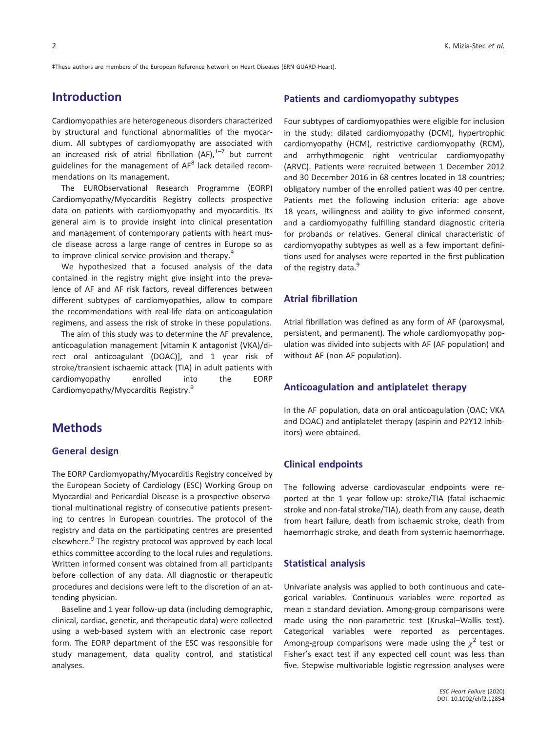‡These authors are members of the European Reference Network on Heart Diseases (ERN GUARD-Heart).

# Introduction

Cardiomyopathies are heterogeneous disorders characterized by structural and functional abnormalities of the myocardium. All subtypes of cardiomyopathy are associated with an increased risk of atrial fibrillation  $(AF)$ ,  $1-7$  but current guidelines for the management of AF<sup>8</sup> lack detailed recommendations on its management.

The EURObservational Research Programme (EORP) Cardiomyopathy/Myocarditis Registry collects prospective data on patients with cardiomyopathy and myocarditis. Its general aim is to provide insight into clinical presentation and management of contemporary patients with heart muscle disease across a large range of centres in Europe so as to improve clinical service provision and therapy.<sup>9</sup>

We hypothesized that a focused analysis of the data contained in the registry might give insight into the prevalence of AF and AF risk factors, reveal differences between different subtypes of cardiomyopathies, allow to compare the recommendations with real-life data on anticoagulation regimens, and assess the risk of stroke in these populations.

The aim of this study was to determine the AF prevalence, anticoagulation management [vitamin K antagonist (VKA)/direct oral anticoagulant (DOAC)], and 1 year risk of stroke/transient ischaemic attack (TIA) in adult patients with cardiomyopathy enrolled into the EORP Cardiomyopathy/Myocarditis Registry.<sup>9</sup>

# **Methods**

#### General design

The EORP Cardiomyopathy/Myocarditis Registry conceived by the European Society of Cardiology (ESC) Working Group on Myocardial and Pericardial Disease is a prospective observational multinational registry of consecutive patients presenting to centres in European countries. The protocol of the registry and data on the participating centres are presented elsewhere.<sup>9</sup> The registry protocol was approved by each local ethics committee according to the local rules and regulations. Written informed consent was obtained from all participants before collection of any data. All diagnostic or therapeutic procedures and decisions were left to the discretion of an attending physician.

Baseline and 1 year follow-up data (including demographic, clinical, cardiac, genetic, and therapeutic data) were collected using a web-based system with an electronic case report form. The EORP department of the ESC was responsible for study management, data quality control, and statistical analyses.

#### Patients and cardiomyopathy subtypes

Four subtypes of cardiomyopathies were eligible for inclusion in the study: dilated cardiomyopathy (DCM), hypertrophic cardiomyopathy (HCM), restrictive cardiomyopathy (RCM), and arrhythmogenic right ventricular cardiomyopathy (ARVC). Patients were recruited between 1 December 2012 and 30 December 2016 in 68 centres located in 18 countries; obligatory number of the enrolled patient was 40 per centre. Patients met the following inclusion criteria: age above 18 years, willingness and ability to give informed consent, and a cardiomyopathy fulfilling standard diagnostic criteria for probands or relatives. General clinical characteristic of cardiomyopathy subtypes as well as a few important definitions used for analyses were reported in the first publication of the registry data.<sup>9</sup>

## Atrial fibrillation

Atrial fibrillation was defined as any form of AF (paroxysmal, persistent, and permanent). The whole cardiomyopathy population was divided into subjects with AF (AF population) and without AF (non-AF population).

#### Anticoagulation and antiplatelet therapy

In the AF population, data on oral anticoagulation (OAC; VKA and DOAC) and antiplatelet therapy (aspirin and P2Y12 inhibitors) were obtained.

#### Clinical endpoints

The following adverse cardiovascular endpoints were reported at the 1 year follow-up: stroke/TIA (fatal ischaemic stroke and non-fatal stroke/TIA), death from any cause, death from heart failure, death from ischaemic stroke, death from haemorrhagic stroke, and death from systemic haemorrhage.

#### Statistical analysis

Univariate analysis was applied to both continuous and categorical variables. Continuous variables were reported as mean ± standard deviation. Among-group comparisons were made using the non-parametric test (Kruskal–Wallis test). Categorical variables were reported as percentages. Among-group comparisons were made using the  $\chi^2$  test or Fisher's exact test if any expected cell count was less than five. Stepwise multivariable logistic regression analyses were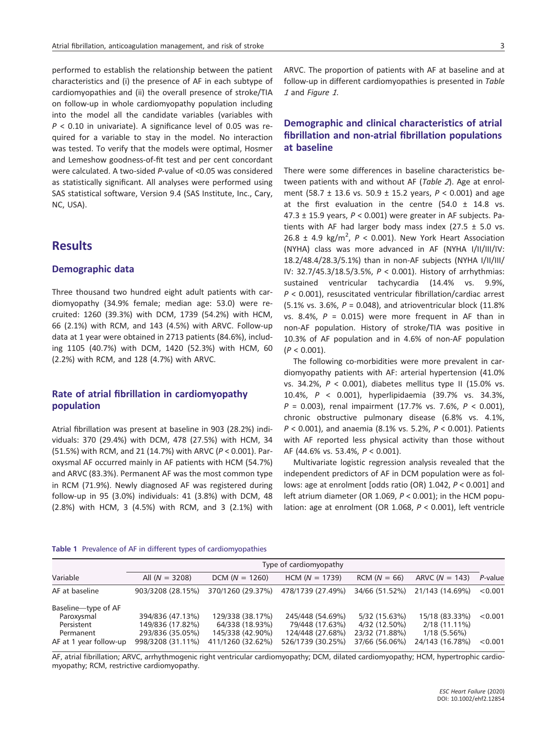performed to establish the relationship between the patient characteristics and (i) the presence of AF in each subtype of cardiomyopathies and (ii) the overall presence of stroke/TIA on follow-up in whole cardiomyopathy population including into the model all the candidate variables (variables with  $P < 0.10$  in univariate). A significance level of 0.05 was required for a variable to stay in the model. No interaction was tested. To verify that the models were optimal, Hosmer and Lemeshow goodness-of-fit test and per cent concordant were calculated. A two-sided P-value of <0.05 was considered as statistically significant. All analyses were performed using SAS statistical software, Version 9.4 (SAS Institute, Inc., Cary, NC, USA).

# **Results**

#### Demographic data

Three thousand two hundred eight adult patients with cardiomyopathy (34.9% female; median age: 53.0) were recruited: 1260 (39.3%) with DCM, 1739 (54.2%) with HCM, 66 (2.1%) with RCM, and 143 (4.5%) with ARVC. Follow-up data at 1 year were obtained in 2713 patients (84.6%), including 1105 (40.7%) with DCM, 1420 (52.3%) with HCM, 60 (2.2%) with RCM, and 128 (4.7%) with ARVC.

## Rate of atrial fibrillation in cardiomyopathy population

Atrial fibrillation was present at baseline in 903 (28.2%) individuals: 370 (29.4%) with DCM, 478 (27.5%) with HCM, 34 (51.5%) with RCM, and 21 (14.7%) with ARVC (P < 0.001). Paroxysmal AF occurred mainly in AF patients with HCM (54.7%) and ARVC (83.3%). Permanent AF was the most common type in RCM (71.9%). Newly diagnosed AF was registered during follow-up in 95 (3.0%) individuals: 41 (3.8%) with DCM, 48 (2.8%) with HCM, 3 (4.5%) with RCM, and 3 (2.1%) with ARVC. The proportion of patients with AF at baseline and at follow-up in different cardiomyopathies is presented in Table <sup>1</sup> and Figure <sup>1</sup>.

## Demographic and clinical characteristics of atrial fibrillation and non-atrial fibrillation populations at baseline

There were some differences in baseline characteristics between patients with and without AF (Table 2). Age at enrolment (58.7  $\pm$  13.6 vs. 50.9  $\pm$  15.2 years,  $P < 0.001$ ) and age at the first evaluation in the centre  $(54.0 \pm 14.8 \text{ vs.})$ 47.3  $\pm$  15.9 years,  $P < 0.001$ ) were greater in AF subjects. Patients with AF had larger body mass index (27.5  $\pm$  5.0 vs.  $26.8 \pm 4.9 \text{ kg/m}^2$ ,  $P < 0.001$ ). New York Heart Association (NYHA) class was more advanced in AF (NYHA I/II/III/IV: 18.2/48.4/28.3/5.1%) than in non-AF subjects (NYHA I/II/III/ IV: 32.7/45.3/18.5/3.5%, P < 0.001). History of arrhythmias: sustained ventricular tachycardia (14.4% vs. 9.9%,  $P < 0.001$ ), resuscitated ventricular fibrillation/cardiac arrest (5.1% vs. 3.6%,  $P = 0.048$ ), and atrioventricular block (11.8%) vs. 8.4%,  $P = 0.015$ ) were more frequent in AF than in non-AF population. History of stroke/TIA was positive in 10.3% of AF population and in 4.6% of non-AF population  $(P < 0.001)$ .

The following co-morbidities were more prevalent in cardiomyopathy patients with AF: arterial hypertension (41.0% vs. 34.2%, P < 0.001), diabetes mellitus type II (15.0% vs. 10.4%, P < 0.001), hyperlipidaemia (39.7% vs. 34.3%,  $P = 0.003$ ), renal impairment (17.7% vs. 7.6%,  $P < 0.001$ ), chronic obstructive pulmonary disease (6.8% vs. 4.1%,  $P < 0.001$ ), and anaemia (8.1% vs. 5.2%,  $P < 0.001$ ). Patients with AF reported less physical activity than those without AF (44.6% vs. 53.4%, P < 0.001).

Multivariate logistic regression analysis revealed that the independent predictors of AF in DCM population were as follows: age at enrolment [odds ratio (OR) 1.042, P < 0.001] and left atrium diameter (OR 1.069, P < 0.001); in the HCM population: age at enrolment (OR 1.068, P < 0.001), left ventricle

#### Table 1 Prevalence of AF in different types of cardiomyopathies

|                        | Type of cardiomyopathy |                   |                   |                |                  |         |  |  |
|------------------------|------------------------|-------------------|-------------------|----------------|------------------|---------|--|--|
| Variable               | All $(N = 3208)$       | $DCM (N = 1260)$  | $HCM (N = 1739)$  | $RCM (N = 66)$ | ARVC $(N = 143)$ | P-value |  |  |
| AF at baseline         | 903/3208 (28.15%)      | 370/1260 (29.37%) | 478/1739 (27.49%) | 34/66 (51.52%) | 21/143 (14.69%)  | < 0.001 |  |  |
| Baseline-type of AF    |                        |                   |                   |                |                  |         |  |  |
| Paroxysmal             | 394/836 (47.13%)       | 129/338 (38.17%)  | 245/448 (54.69%)  | 5/32 (15.63%)  | 15/18 (83.33%)   | < 0.001 |  |  |
| Persistent             | 149/836 (17.82%)       | 64/338 (18.93%)   | 79/448 (17.63%)   | 4/32 (12.50%)  | 2/18 (11.11%)    |         |  |  |
| Permanent              | 293/836 (35.05%)       | 145/338 (42.90%)  | 124/448 (27.68%)  | 23/32 (71.88%) | $1/18(5.56\%)$   |         |  |  |
| AF at 1 year follow-up | 998/3208 (31.11%)      | 411/1260 (32.62%) | 526/1739 (30.25%) | 37/66 (56.06%) | 24/143 (16.78%)  | < 0.001 |  |  |

AF, atrial fibrillation; ARVC, arrhythmogenic right ventricular cardiomyopathy; DCM, dilated cardiomyopathy; HCM, hypertrophic cardiomyopathy; RCM, restrictive cardiomyopathy.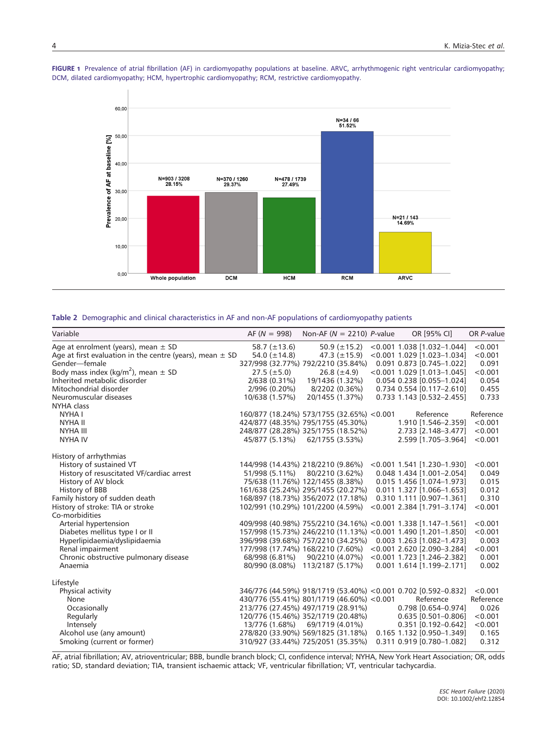

FIGURE 1 Prevalence of atrial fibrillation (AF) in cardiomyopathy populations at baseline. ARVC, arrhythmogenic right ventricular cardiomyopathy; DCM, dilated cardiomyopathy; HCM, hypertrophic cardiomyopathy; RCM, restrictive cardiomyopathy.

|  |  | Table 2 Demographic and clinical characteristics in AF and non-AF populations of cardiomyopathy patients |  |  |  |  |  |
|--|--|----------------------------------------------------------------------------------------------------------|--|--|--|--|--|
|--|--|----------------------------------------------------------------------------------------------------------|--|--|--|--|--|

| Variable                                                     | $AF (N = 998)$    | Non-AF ( $N = 2210$ ) P-value              |                   | OR [95% CI]                                                    | OR P-value |
|--------------------------------------------------------------|-------------------|--------------------------------------------|-------------------|----------------------------------------------------------------|------------|
| Age at enrolment (years), mean $\pm$ SD                      | 58.7 $(\pm 13.6)$ |                                            | 50.9 $(\pm 15.2)$ | $< 0.001$ 1.038 [1.032-1.044]                                  | < 0.001    |
| Age at first evaluation in the centre (years), mean $\pm$ SD | 54.0 $(\pm 14.8)$ |                                            | 47.3 $(\pm 15.9)$ | $< 0.001$ 1.029 [1.023-1.034]                                  | < 0.001    |
| Gender-female                                                |                   | 327/998 (32.77%) 792/2210 (35.84%)         |                   | $0.091$ $0.873$ $[0.745 - 1.022]$                              | 0.091      |
| Body mass index (kg/m <sup>2</sup> ), mean $\pm$ SD          | $27.5 (\pm 5.0)$  |                                            | $26.8 (\pm 4.9)$  | <0.001 1.029 [1.013-1.045]                                     | < 0.001    |
| Inherited metabolic disorder                                 | 2/638 (0.31%)     |                                            | 19/1436 (1.32%)   | 0.054 0.238 [0.055-1.024]                                      | 0.054      |
| Mitochondrial disorder                                       | 2/996 (0.20%)     |                                            | 8/2202 (0.36%)    | $0.734$ $0.554$ $[0.117 - 2.610]$                              | 0.455      |
| Neuromuscular diseases                                       | 10/638 (1.57%)    | 20/1455 (1.37%)                            |                   | 0.733 1.143 [0.532-2.455]                                      | 0.733      |
| NYHA class                                                   |                   |                                            |                   |                                                                |            |
| NYHA I                                                       |                   | 160/877 (18.24%) 573/1755 (32.65%) < 0.001 |                   | Reference                                                      | Reference  |
| <b>NYHA II</b>                                               |                   | 424/877 (48.35%) 795/1755 (45.30%)         |                   | 1.910 [1.546-2.359]                                            | < 0.001    |
| <b>NYHA III</b>                                              |                   | 248/877 (28.28%) 325/1755 (18.52%)         |                   | 2.733 [2.148-3.477]                                            | < 0.001    |
| <b>NYHA IV</b>                                               | 45/877 (5.13%)    | 62/1755 (3.53%)                            |                   | 2.599 [1.705-3.964]                                            | < 0.001    |
| History of arrhythmias                                       |                   |                                            |                   |                                                                |            |
| History of sustained VT                                      |                   | 144/998 (14.43%) 218/2210 (9.86%)          |                   | $< 0.001$ 1.541 [1.230-1.930]                                  | < 0.001    |
| History of resuscitated VF/cardiac arrest                    | 51/998 (5.11%)    | 80/2210 (3.62%)                            |                   | 0.048 1.434 [1.001-2.054]                                      | 0.049      |
| History of AV block                                          |                   | 75/638 (11.76%) 122/1455 (8.38%)           |                   | 0.015 1.456 [1.074-1.973]                                      | 0.015      |
| History of BBB                                               |                   | 161/638 (25.24%) 295/1455 (20.27%)         |                   | $0.011$ 1.327 [1.066-1.653]                                    | 0.012      |
| Family history of sudden death                               |                   | 168/897 (18.73%) 356/2072 (17.18%)         |                   | 0.310 1.111 [0.907-1.361]                                      | 0.310      |
| History of stroke: TIA or stroke                             |                   | 102/991 (10.29%) 101/2200 (4.59%)          |                   | $< 0.001$ 2.384 [1.791-3.174]                                  | < 0.001    |
| Co-morbidities                                               |                   |                                            |                   |                                                                |            |
| Arterial hypertension                                        |                   |                                            |                   | 409/998 (40.98%) 755/2210 (34.16%) < 0.001 1.338 [1.147-1.561] | < 0.001    |
| Diabetes mellitus type I or II                               |                   |                                            |                   | 157/998 (15.73%) 246/2210 (11.13%) < 0.001 1.490 [1.201-1.850] | < 0.001    |
| Hyperlipidaemia/dyslipidaemia                                |                   | 396/998 (39.68%) 757/2210 (34.25%)         |                   | 0.003 1.263 [1.082-1.473]                                      | 0.003      |
| Renal impairment                                             |                   | 177/998 (17.74%) 168/2210 (7.60%)          |                   | $< 0.001$ 2.620 [2.090-3.284]                                  | < 0.001    |
| Chronic obstructive pulmonary disease                        | 68/998 (6.81%)    |                                            | 90/2210 (4.07%)   | $< 0.001$ 1.723 [1.246-2.382]                                  | 0.001      |
| Anaemia                                                      |                   | 80/990 (8.08%) 113/2187 (5.17%)            |                   | $0.001$ 1.614 [1.199-2.171]                                    | 0.002      |
| Lifestyle                                                    |                   |                                            |                   |                                                                |            |
| Physical activity                                            |                   |                                            |                   | 346/776 (44.59%) 918/1719 (53.40%) < 0.001 0.702 [0.592-0.832] | < 0.001    |
| None                                                         |                   | 430/776 (55.41%) 801/1719 (46.60%) < 0.001 |                   | Reference                                                      | Reference  |
| Occasionally                                                 |                   | 213/776 (27.45%) 497/1719 (28.91%)         |                   | $0.798$ [0.654-0.974]                                          | 0.026      |
| Regularly                                                    |                   | 120/776 (15.46%) 352/1719 (20.48%)         |                   | $0.635$ [0.501-0.806]                                          | < 0.001    |
| Intensely                                                    | 13/776 (1.68%)    | 69/1719 (4.01%)                            |                   | $0.351$ [0.192-0.642]                                          | < 0.001    |
| Alcohol use (any amount)                                     |                   | 278/820 (33.90%) 569/1825 (31.18%)         |                   | 0.165 1.132 [0.950-1.349]                                      | 0.165      |
| Smoking (current or former)                                  |                   | 310/927 (33.44%) 725/2051 (35.35%)         |                   | 0.311 0.919 [0.780-1.082]                                      | 0.312      |
|                                                              |                   |                                            |                   |                                                                |            |

AF, atrial fibrillation; AV, atrioventricular; BBB, bundle branch block; CI, confidence interval; NYHA, New York Heart Association; OR, odds ratio; SD, standard deviation; TIA, transient ischaemic attack; VF, ventricular fibrillation; VT, ventricular tachycardia.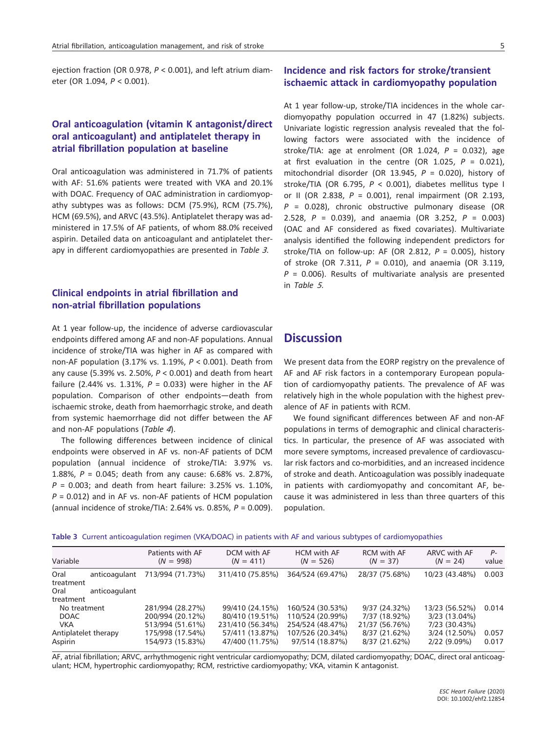ejection fraction (OR 0.978,  $P < 0.001$ ), and left atrium diameter (OR 1.094, P < 0.001).

## Oral anticoagulation (vitamin K antagonist/direct oral anticoagulant) and antiplatelet therapy in atrial fibrillation population at baseline

Oral anticoagulation was administered in 71.7% of patients with AF: 51.6% patients were treated with VKA and 20.1% with DOAC. Frequency of OAC administration in cardiomyopathy subtypes was as follows: DCM (75.9%), RCM (75.7%), HCM (69.5%), and ARVC (43.5%). Antiplatelet therapy was administered in 17.5% of AF patients, of whom 88.0% received aspirin. Detailed data on anticoagulant and antiplatelet therapy in different cardiomyopathies are presented in Table 3.

#### Clinical endpoints in atrial fibrillation and non-atrial fibrillation populations

At 1 year follow-up, the incidence of adverse cardiovascular endpoints differed among AF and non-AF populations. Annual incidence of stroke/TIA was higher in AF as compared with non-AF population (3.17% vs. 1.19%, P < 0.001). Death from any cause (5.39% vs. 2.50%,  $P < 0.001$ ) and death from heart failure (2.44% vs. 1.31%,  $P = 0.033$ ) were higher in the AF population. Comparison of other endpoints—death from ischaemic stroke, death from haemorrhagic stroke, and death from systemic haemorrhage did not differ between the AF and non-AF populations (Table <sup>4</sup>).

The following differences between incidence of clinical endpoints were observed in AF vs. non-AF patients of DCM population (annual incidence of stroke/TIA: 3.97% vs. 1.88%, P = 0.045; death from any cause: 6.68% vs. 2.87%,  $P = 0.003$ ; and death from heart failure: 3.25% vs. 1.10%,  $P = 0.012$ ) and in AF vs. non-AF patients of HCM population (annual incidence of stroke/TIA: 2.64% vs. 0.85%,  $P = 0.009$ ).

## Incidence and risk factors for stroke/transient ischaemic attack in cardiomyopathy population

At 1 year follow-up, stroke/TIA incidences in the whole cardiomyopathy population occurred in 47 (1.82%) subjects. Univariate logistic regression analysis revealed that the following factors were associated with the incidence of stroke/TIA: age at enrolment (OR 1.024,  $P = 0.032$ ), age at first evaluation in the centre (OR 1.025,  $P = 0.021$ ), mitochondrial disorder (OR 13.945,  $P = 0.020$ ), history of stroke/TIA (OR 6.795,  $P < 0.001$ ), diabetes mellitus type I or II (OR 2.838,  $P = 0.001$ ), renal impairment (OR 2.193,  $P = 0.028$ ), chronic obstructive pulmonary disease (OR 2.528,  $P = 0.039$ , and anaemia (OR 3.252,  $P = 0.003$ ) (OAC and AF considered as fixed covariates). Multivariate analysis identified the following independent predictors for stroke/TIA on follow-up: AF (OR 2.812,  $P = 0.005$ ), history of stroke (OR 7.311,  $P = 0.010$ ), and anaemia (OR 3.119,  $P = 0.006$ ). Results of multivariate analysis are presented in Table <sup>5</sup>.

# **Discussion**

We present data from the EORP registry on the prevalence of AF and AF risk factors in a contemporary European population of cardiomyopathy patients. The prevalence of AF was relatively high in the whole population with the highest prevalence of AF in patients with RCM.

We found significant differences between AF and non-AF populations in terms of demographic and clinical characteristics. In particular, the presence of AF was associated with more severe symptoms, increased prevalence of cardiovascular risk factors and co-morbidities, and an increased incidence of stroke and death. Anticoagulation was possibly inadequate in patients with cardiomyopathy and concomitant AF, because it was administered in less than three quarters of this population.

|  | Table 3 Current anticoagulation regimen (VKA/DOAC) in patients with AF and various subtypes of cardiomyopathies |  |  |  |  |  |  |
|--|-----------------------------------------------------------------------------------------------------------------|--|--|--|--|--|--|
|--|-----------------------------------------------------------------------------------------------------------------|--|--|--|--|--|--|

| Variable                                                                     | Patients with AF<br>$(N = 998)$                                                                  | DCM with AF<br>$(N = 411)$                                                                   | <b>HCM</b> with AF<br>$(N = 526)$                                                               | <b>RCM</b> with AF<br>$(N = 37)$                                                    | <b>ARVC with AF</b><br>$(N = 24)$                                                   | $P-$<br>value           |
|------------------------------------------------------------------------------|--------------------------------------------------------------------------------------------------|----------------------------------------------------------------------------------------------|-------------------------------------------------------------------------------------------------|-------------------------------------------------------------------------------------|-------------------------------------------------------------------------------------|-------------------------|
| Oral<br>anticoagulant<br>treatment<br>anticoagulant<br>Oral                  | 713/994 (71.73%)                                                                                 | 311/410 (75.85%)                                                                             | 364/524 (69.47%)                                                                                | 28/37 (75.68%)                                                                      | 10/23 (43.48%)                                                                      | 0.003                   |
| treatment                                                                    |                                                                                                  |                                                                                              |                                                                                                 |                                                                                     |                                                                                     |                         |
| No treatment<br><b>DOAC</b><br><b>VKA</b><br>Antiplatelet therapy<br>Aspirin | 281/994 (28.27%)<br>200/994 (20.12%)<br>513/994 (51.61%)<br>175/998 (17.54%)<br>154/973 (15.83%) | 99/410 (24.15%)<br>80/410 (19.51%)<br>231/410 (56.34%)<br>57/411 (13.87%)<br>47/400 (11.75%) | 160/524 (30.53%)<br>110/524 (20.99%)<br>254/524 (48.47%)<br>107/526 (20.34%)<br>97/514 (18.87%) | $9/37(24.32\%)$<br>7/37 (18.92%)<br>21/37 (56.76%)<br>8/37(21.62%)<br>8/37 (21.62%) | 13/23 (56.52%)<br>3/23 (13.04%)<br>7/23 (30.43%)<br>3/24 (12.50%)<br>$2/22(9.09\%)$ | 0.014<br>0.057<br>0.017 |
|                                                                              |                                                                                                  |                                                                                              |                                                                                                 |                                                                                     |                                                                                     |                         |

AF, atrial fibrillation; ARVC, arrhythmogenic right ventricular cardiomyopathy; DCM, dilated cardiomyopathy; DOAC, direct oral anticoagulant; HCM, hypertrophic cardiomyopathy; RCM, restrictive cardiomyopathy; VKA, vitamin K antagonist.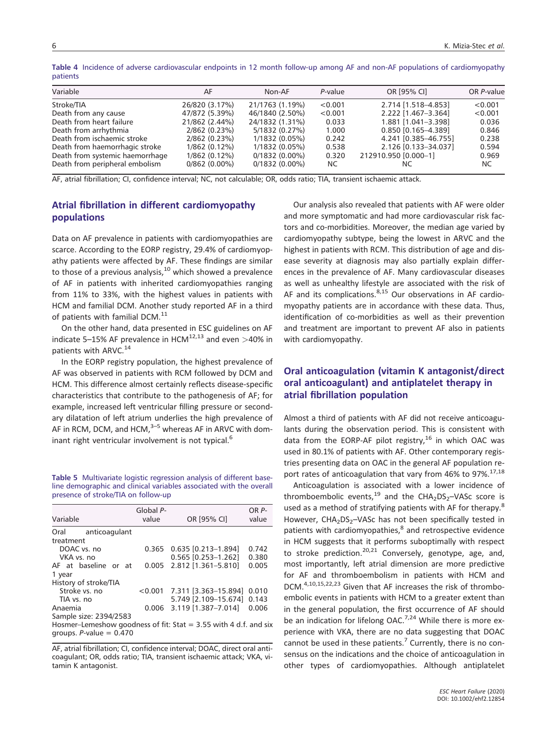| Variable                        | AF              | Non-AF           | P-value | OR [95% CI]          | OR P-value |
|---------------------------------|-----------------|------------------|---------|----------------------|------------|
| Stroke/TIA                      | 26/820 (3.17%)  | 21/1763 (1.19%)  | < 0.001 | 2.714 [1.518-4.853]  | < 0.001    |
| Death from any cause            | 47/872 (5.39%)  | 46/1840 (2.50%)  | < 0.001 | 2.222 [1.467-3.364]  | < 0.001    |
| Death from heart failure        | 21/862 (2.44%)  | 24/1832 (1.31%)  | 0.033   | 1.881 [1.041-3.398]  | 0.036      |
| Death from arrhythmia           | 2/862 (0.23%)   | 5/1832 (0.27%)   | 1.000   | 0.850 [0.165-4.389]  | 0.846      |
| Death from ischaemic stroke     | 2/862 (0.23%)   | 1/1832(0.05%)    | 0.242   | 4.241 [0.385-46.755] | 0.238      |
| Death from haemorrhagic stroke  | $1/862(0.12\%)$ | 1/1832(0.05%)    | 0.538   | 2.126 [0.133-34.037] | 0.594      |
| Death from systemic haemorrhage | $1/862(0.12\%)$ | $0/1832(0.00\%)$ | 0.320   | 212910.950 [0.000-1] | 0.969      |
| Death from peripheral embolism  | $0/862$ (0.00%) | $0/1832(0.00\%)$ | NC.     | NC.                  | NC.        |
|                                 |                 |                  |         |                      |            |

Table 4 Incidence of adverse cardiovascular endpoints in 12 month follow-up among AF and non-AF populations of cardiomyopathy patients

AF, atrial fibrillation; CI, confidence interval; NC, not calculable; OR, odds ratio; TIA, transient ischaemic attack.

## Atrial fibrillation in different cardiomyopathy populations

Data on AF prevalence in patients with cardiomyopathies are scarce. According to the EORP registry, 29.4% of cardiomyopathy patients were affected by AF. These findings are similar to those of a previous analysis, $10$  which showed a prevalence of AF in patients with inherited cardiomyopathies ranging from 11% to 33%, with the highest values in patients with HCM and familial DCM. Another study reported AF in a third of patients with familial DCM.<sup>11</sup>

On the other hand, data presented in ESC guidelines on AF indicate 5–15% AF prevalence in HCM $12,13$  and even >40% in patients with ARVC.<sup>14</sup>

In the EORP registry population, the highest prevalence of AF was observed in patients with RCM followed by DCM and HCM. This difference almost certainly reflects disease-specific characteristics that contribute to the pathogenesis of AF; for example, increased left ventricular filling pressure or secondary dilatation of left atrium underlies the high prevalence of AF in RCM, DCM, and HCM, $3-5$  whereas AF in ARVC with dominant right ventricular involvement is not typical.<sup>6</sup>

Table 5 Multivariate logistic regression analysis of different baseline demographic and clinical variables associated with the overall presence of stroke/TIA on follow-up

| Variable                                                         | Global P-<br>value | OR [95% CI]                     | OR P-<br>value |
|------------------------------------------------------------------|--------------------|---------------------------------|----------------|
| Oral<br>anticoagulant                                            |                    |                                 |                |
| treatment                                                        |                    |                                 |                |
| DOAC vs. no                                                      |                    | $0.365$ $0.635$ $[0.213-1.894]$ | 0.742          |
| VKA vs. no                                                       |                    | 0.565 [0.253-1.262]             | 0.380          |
| AF at baseline or at                                             |                    | 0.005 2.812 [1.361-5.810]       | 0.005          |
| 1 year                                                           |                    |                                 |                |
| History of stroke/TIA                                            |                    |                                 |                |
| Stroke vs. no                                                    |                    | $< 0.001$ 7.311 [3.363-15.894]  | 0.010          |
| TIA vs. no                                                       |                    | 5.749 [2.109-15.674]            | 0.143          |
| Anaemia                                                          |                    | $0.006$ 3.119 $[1.387 - 7.014]$ | 0.006          |
| Sample size: 2394/2583                                           |                    |                                 |                |
| Hosmer-Lemeshow goodness of fit: Stat = 3.55 with 4 d.f. and six |                    |                                 |                |
| groups. $P$ -value = 0.470                                       |                    |                                 |                |

AF, atrial fibrillation; CI, confidence interval; DOAC, direct oral anticoagulant; OR, odds ratio; TIA, transient ischaemic attack; VKA, vitamin K antagonist.

Our analysis also revealed that patients with AF were older and more symptomatic and had more cardiovascular risk factors and co-morbidities. Moreover, the median age varied by cardiomyopathy subtype, being the lowest in ARVC and the highest in patients with RCM. This distribution of age and disease severity at diagnosis may also partially explain differences in the prevalence of AF. Many cardiovascular diseases as well as unhealthy lifestyle are associated with the risk of AF and its complications. $8,15$  Our observations in AF cardiomyopathy patients are in accordance with these data. Thus, identification of co-morbidities as well as their prevention and treatment are important to prevent AF also in patients with cardiomyopathy.

## Oral anticoagulation (vitamin K antagonist/direct oral anticoagulant) and antiplatelet therapy in atrial fibrillation population

Almost a third of patients with AF did not receive anticoagulants during the observation period. This is consistent with data from the EORP-AF pilot registry, $^{16}$  in which OAC was used in 80.1% of patients with AF. Other contemporary registries presenting data on OAC in the general AF population report rates of anticoagulation that vary from 46% to 97%.<sup>17,18</sup>

Anticoagulation is associated with a lower incidence of thromboembolic events,<sup>19</sup> and the CHA<sub>2</sub>DS<sub>2</sub>-VASc score is used as a method of stratifying patients with AF for therapy.<sup>8</sup> However, CHA<sub>2</sub>DS<sub>2</sub>-VASc has not been specifically tested in patients with cardiomyopathies, $<sup>8</sup>$  and retrospective evidence</sup> in HCM suggests that it performs suboptimally with respect to stroke prediction.<sup>20,21</sup> Conversely, genotype, age, and, most importantly, left atrial dimension are more predictive for AF and thromboembolism in patients with HCM and DCM.<sup>4,10,15,22,23</sup> Given that AF increases the risk of thromboembolic events in patients with HCM to a greater extent than in the general population, the first occurrence of AF should be an indication for lifelong OAC.<sup>7,24</sup> While there is more experience with VKA, there are no data suggesting that DOAC cannot be used in these patients.<sup>7</sup> Currently, there is no consensus on the indications and the choice of anticoagulation in other types of cardiomyopathies. Although antiplatelet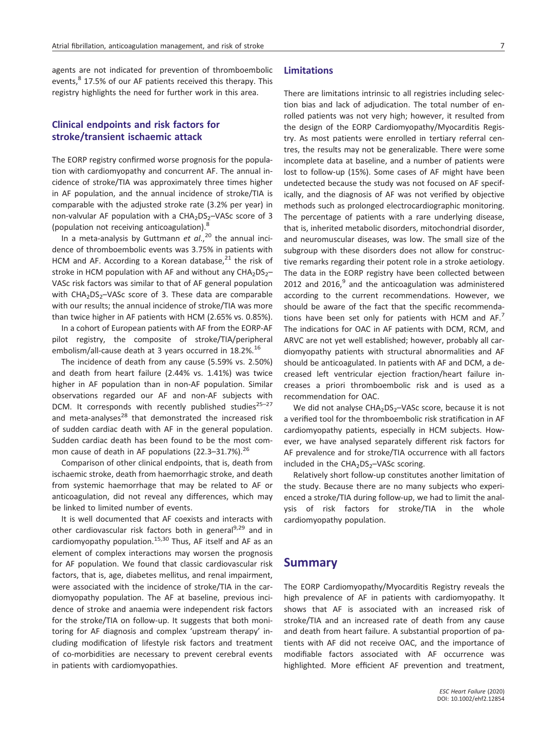agents are not indicated for prevention of thromboembolic events,<sup>8</sup> 17.5% of our AF patients received this therapy. This registry highlights the need for further work in this area.

## Clinical endpoints and risk factors for stroke/transient ischaemic attack

The EORP registry confirmed worse prognosis for the population with cardiomyopathy and concurrent AF. The annual incidence of stroke/TIA was approximately three times higher in AF population, and the annual incidence of stroke/TIA is comparable with the adjusted stroke rate (3.2% per year) in non-valvular AF population with a  $CHA<sub>2</sub>DS<sub>2</sub>–VASC score of 3$ (population not receiving anticoagulation).<sup>8</sup>

In a meta-analysis by Guttmann et  $al.^{20}$  the annual incidence of thromboembolic events was 3.75% in patients with HCM and AF. According to a Korean database, $^{21}$  the risk of stroke in HCM population with AF and without any  $CHA<sub>2</sub>DS<sub>2</sub>$ – VASc risk factors was similar to that of AF general population with  $CHA<sub>2</sub>DS<sub>2</sub>–VASC score of 3. These data are comparable$ with our results; the annual incidence of stroke/TIA was more than twice higher in AF patients with HCM (2.65% vs. 0.85%).

In a cohort of European patients with AF from the EORP-AF pilot registry, the composite of stroke/TIA/peripheral embolism/all-cause death at 3 years occurred in 18.2%.<sup>16</sup>

The incidence of death from any cause (5.59% vs. 2.50%) and death from heart failure (2.44% vs. 1.41%) was twice higher in AF population than in non-AF population. Similar observations regarded our AF and non-AF subjects with DCM. It corresponds with recently published studies $25-27$ and meta-analyses $^{28}$  that demonstrated the increased risk of sudden cardiac death with AF in the general population. Sudden cardiac death has been found to be the most common cause of death in AF populations (22.3-31.7%).<sup>26</sup>

Comparison of other clinical endpoints, that is, death from ischaemic stroke, death from haemorrhagic stroke, and death from systemic haemorrhage that may be related to AF or anticoagulation, did not reveal any differences, which may be linked to limited number of events.

It is well documented that AF coexists and interacts with other cardiovascular risk factors both in general<sup>9,29</sup> and in cardiomyopathy population.<sup>15,30</sup> Thus, AF itself and AF as an element of complex interactions may worsen the prognosis for AF population. We found that classic cardiovascular risk factors, that is, age, diabetes mellitus, and renal impairment, were associated with the incidence of stroke/TIA in the cardiomyopathy population. The AF at baseline, previous incidence of stroke and anaemia were independent risk factors for the stroke/TIA on follow-up. It suggests that both monitoring for AF diagnosis and complex 'upstream therapy' including modification of lifestyle risk factors and treatment of co-morbidities are necessary to prevent cerebral events in patients with cardiomyopathies.

#### Limitations

There are limitations intrinsic to all registries including selection bias and lack of adjudication. The total number of enrolled patients was not very high; however, it resulted from the design of the EORP Cardiomyopathy/Myocarditis Registry. As most patients were enrolled in tertiary referral centres, the results may not be generalizable. There were some incomplete data at baseline, and a number of patients were lost to follow-up (15%). Some cases of AF might have been undetected because the study was not focused on AF specifically, and the diagnosis of AF was not verified by objective methods such as prolonged electrocardiographic monitoring. The percentage of patients with a rare underlying disease, that is, inherited metabolic disorders, mitochondrial disorder, and neuromuscular diseases, was low. The small size of the subgroup with these disorders does not allow for constructive remarks regarding their potent role in a stroke aetiology. The data in the EORP registry have been collected between 2012 and 2016, $^9$  and the anticoagulation was administered according to the current recommendations. However, we should be aware of the fact that the specific recommendations have been set only for patients with HCM and  $AF^7$ The indications for OAC in AF patients with DCM, RCM, and ARVC are not yet well established; however, probably all cardiomyopathy patients with structural abnormalities and AF should be anticoagulated. In patients with AF and DCM, a decreased left ventricular ejection fraction/heart failure increases a priori thromboembolic risk and is used as a recommendation for OAC.

We did not analyse  $CHA<sub>2</sub>DS<sub>2</sub>–VASC score, because it is not$ a verified tool for the thromboembolic risk stratification in AF cardiomyopathy patients, especially in HCM subjects. However, we have analysed separately different risk factors for AF prevalence and for stroke/TIA occurrence with all factors included in the  $CHA<sub>2</sub>DS<sub>2</sub>–VASC scoring.$ 

Relatively short follow-up constitutes another limitation of the study. Because there are no many subjects who experienced a stroke/TIA during follow-up, we had to limit the analysis of risk factors for stroke/TIA in the whole cardiomyopathy population.

### Summary

The EORP Cardiomyopathy/Myocarditis Registry reveals the high prevalence of AF in patients with cardiomyopathy. It shows that AF is associated with an increased risk of stroke/TIA and an increased rate of death from any cause and death from heart failure. A substantial proportion of patients with AF did not receive OAC, and the importance of modifiable factors associated with AF occurrence was highlighted. More efficient AF prevention and treatment,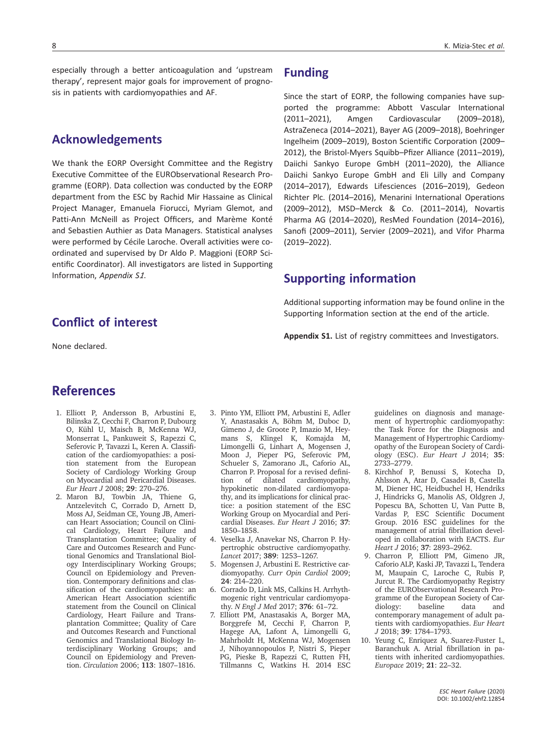especially through a better anticoagulation and 'upstream therapy', represent major goals for improvement of prognosis in patients with cardiomyopathies and AF.

# Acknowledgements

We thank the EORP Oversight Committee and the Registry Executive Committee of the EURObservational Research Programme (EORP). Data collection was conducted by the EORP department from the ESC by Rachid Mir Hassaine as Clinical Project Manager, Emanuela Fiorucci, Myriam Glemot, and Patti-Ann McNeill as Project Officers, and Marème Konté and Sebastien Authier as Data Managers. Statistical analyses were performed by Cécile Laroche. Overall activities were coordinated and supervised by Dr Aldo P. Maggioni (EORP Scientific Coordinator). All investigators are listed in Supporting Information, Appendix S1.

# Conflict of interest

None declared.

# Funding

Since the start of EORP, the following companies have supported the programme: Abbott Vascular International (2011–2021), Amgen Cardiovascular (2009–2018), AstraZeneca (2014–2021), Bayer AG (2009–2018), Boehringer Ingelheim (2009–2019), Boston Scientific Corporation (2009– 2012), the Bristol-Myers Squibb–Pfizer Alliance (2011–2019), Daiichi Sankyo Europe GmbH (2011–2020), the Alliance Daiichi Sankyo Europe GmbH and Eli Lilly and Company (2014–2017), Edwards Lifesciences (2016–2019), Gedeon Richter Plc. (2014–2016), Menarini International Operations (2009–2012), MSD–Merck & Co. (2011–2014), Novartis Pharma AG (2014–2020), ResMed Foundation (2014–2016), Sanofi (2009–2011), Servier (2009–2021), and Vifor Pharma (2019–2022).

# Supporting information

Additional supporting information may be found online in the Supporting Information section at the end of the article.

Appendix S1. List of registry committees and Investigators.

# References

- 1. Elliott P, Andersson B, Arbustini E, Bilinska Z, Cecchi F, Charron P, Dubourg O, Kühl U, Maisch B, McKenna WJ, Monserrat L, Pankuweit S, Rapezzi C, Seferovic P, Tavazzi L, Keren A. Classification of the cardiomyopathies: a position statement from the European Society of Cardiology Working Group on Myocardial and Pericardial Diseases. Eur Heart J 2008; 29: 270–276.
- 2. Maron BJ, Towbin JA, Thiene G, Antzelevitch C, Corrado D, Arnett D, Moss AJ, Seidman CE, Young JB, American Heart Association; Council on Clinical Cardiology, Heart Failure and Transplantation Committee; Quality of Care and Outcomes Research and Functional Genomics and Translational Biology Interdisciplinary Working Groups; Council on Epidemiology and Prevention. Contemporary definitions and classification of the cardiomyopathies: an American Heart Association scientific statement from the Council on Clinical Cardiology, Heart Failure and Transplantation Committee; Quality of Care and Outcomes Research and Functional Genomics and Translational Biology Interdisciplinary Working Groups; and Council on Epidemiology and Prevention. Circulation 2006; 113: 1807–1816.
- 3. Pinto YM, Elliott PM, Arbustini E, Adler Y, Anastasakis A, Böhm M, Duboc D, Gimeno J, de Groote P, Imazio M, Heymans S, Klingel K, Komajda M, Limongelli G, Linhart A, Mogensen J, Moon J, Pieper PG, Seferovic PM, Schueler S, Zamorano JL, Caforio AL, Charron P. Proposal for a revised definition of dilated cardiomyopathy, hypokinetic non-dilated cardiomyopathy, and its implications for clinical practice: a position statement of the ESC Working Group on Myocardial and Pericardial Diseases. Eur Heart J 2016; 37: 1850–1858.
- 4. Veselka J, Anavekar NS, Charron P. Hypertrophic obstructive cardiomyopathy. Lancet 2017; 389: 1253–1267.
- 5. Mogensen J, Arbustini E. Restrictive cardiomyopathy. Curr Opin Cardiol 2009; 24: 214–220.
- 6. Corrado D, Link MS, Calkins H. Arrhythmogenic right ventricular cardiomyopathy. N Engl J Med 2017; 376: 61–72.
- 7. Elliott PM, Anastasakis A, Borger MA, Borggrefe M, Cecchi F, Charron P, Hagege AA, Lafont A, Limongelli G, Mahrholdt H, McKenna WJ, Mogensen J, Nihoyannopoulos P, Nistri S, Pieper PG, Pieske B, Rapezzi C, Rutten FH, Tillmanns C, Watkins H. 2014 ESC

guidelines on diagnosis and management of hypertrophic cardiomyopathy: the Task Force for the Diagnosis and Management of Hypertrophic Cardiomyopathy of the European Society of Cardiology (ESC). Eur Heart J 2014; 35: 2733–2779.

- 8. Kirchhof P, Benussi S, Kotecha D, Ahlsson A, Atar D, Casadei B, Castella M, Diener HC, Heidbuchel H, Hendriks J, Hindricks G, Manolis AS, Oldgren J, Popescu BA, Schotten U, Van Putte B, Vardas P, ESC Scientific Document Group. 2016 ESC guidelines for the management of atrial fibrillation developed in collaboration with EACTS. Eur Heart J 2016; 37: 2893–2962.
- 9. Charron P, Elliott PM, Gimeno JR, Caforio ALP, Kaski JP, Tavazzi L, Tendera M, Maupain C, Laroche C, Rubis P, Jurcut R. The Cardiomyopathy Registry of the EURObservational Research Programme of the European Society of Cardiology: baseline data and contemporary management of adult patients with cardiomyopathies. Eur Heart J 2018; 39: 1784–1793.
- 10. Yeung C, Enriquez A, Suarez-Fuster L, Baranchuk A. Atrial fibrillation in patients with inherited cardiomyopathies. Europace 2019; 21: 22–32.